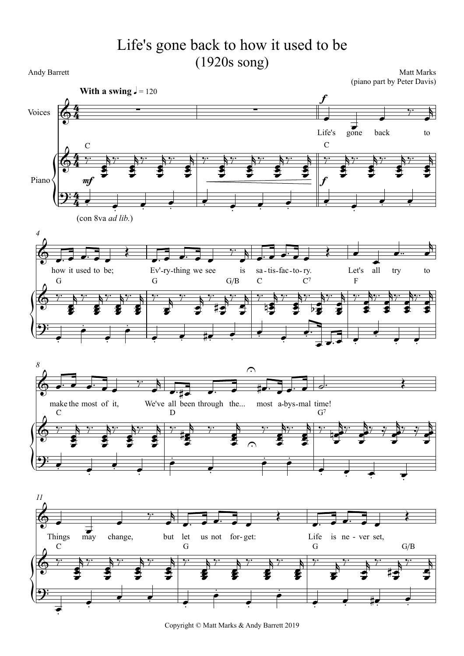## Life's gone back to how it used to be (1920s song)

Andy Barrett

Matt Marks (piano part by Peter Davis)

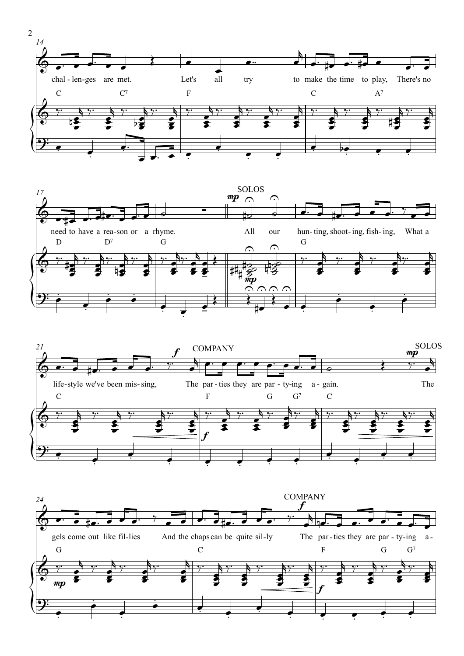





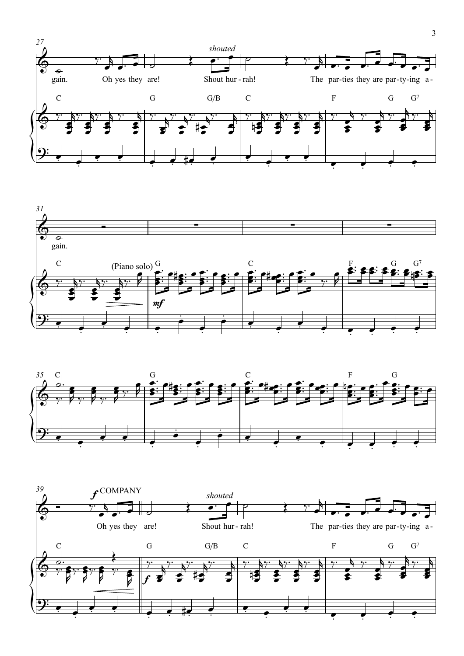